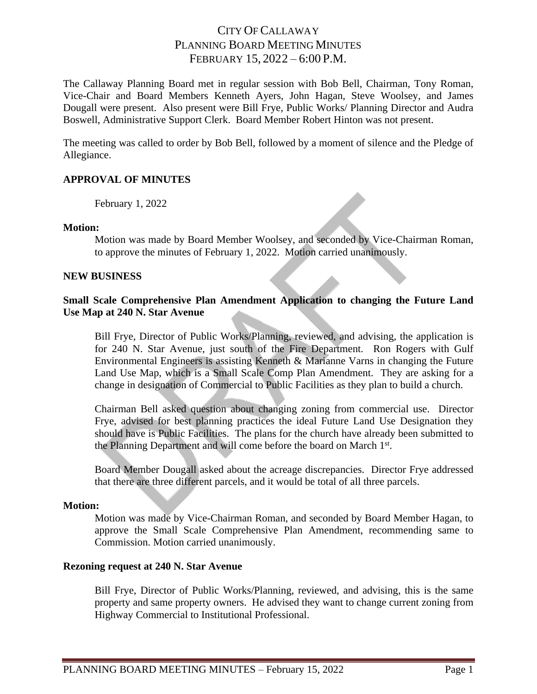# CITY OF CALLAWAY PLANNING BOARD MEETING MINUTES FEBRUARY 15, 2022 – 6:00 P.M.

The Callaway Planning Board met in regular session with Bob Bell, Chairman, Tony Roman, Vice-Chair and Board Members Kenneth Ayers, John Hagan, Steve Woolsey, and James Dougall were present. Also present were Bill Frye, Public Works/ Planning Director and Audra Boswell, Administrative Support Clerk. Board Member Robert Hinton was not present.

The meeting was called to order by Bob Bell, followed by a moment of silence and the Pledge of Allegiance.

## **APPROVAL OF MINUTES**

February 1, 2022

## **Motion:**

Motion was made by Board Member Woolsey, and seconded by Vice-Chairman Roman, to approve the minutes of February 1, 2022. Motion carried unanimously.

## **NEW BUSINESS**

## **Small Scale Comprehensive Plan Amendment Application to changing the Future Land Use Map at 240 N. Star Avenue**

Bill Frye, Director of Public Works/Planning, reviewed, and advising, the application is for 240 N. Star Avenue, just south of the Fire Department. Ron Rogers with Gulf Environmental Engineers is assisting Kenneth & Marianne Varns in changing the Future Land Use Map, which is a Small Scale Comp Plan Amendment. They are asking for a change in designation of Commercial to Public Facilities as they plan to build a church.

Chairman Bell asked question about changing zoning from commercial use. Director Frye, advised for best planning practices the ideal Future Land Use Designation they should have is Public Facilities. The plans for the church have already been submitted to the Planning Department and will come before the board on March 1st.

Board Member Dougall asked about the acreage discrepancies. Director Frye addressed that there are three different parcels, and it would be total of all three parcels.

## **Motion:**

Motion was made by Vice-Chairman Roman, and seconded by Board Member Hagan, to approve the Small Scale Comprehensive Plan Amendment, recommending same to Commission. Motion carried unanimously.

## **Rezoning request at 240 N. Star Avenue**

Bill Frye, Director of Public Works/Planning, reviewed, and advising, this is the same property and same property owners. He advised they want to change current zoning from Highway Commercial to Institutional Professional.